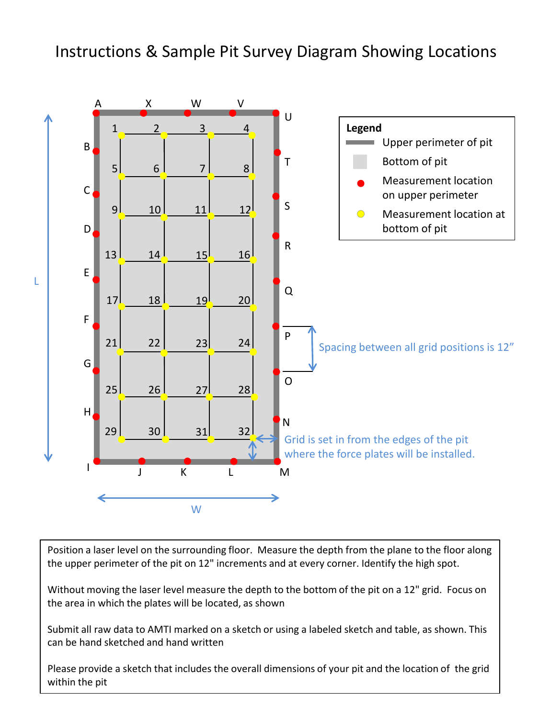## Instructions & Sample Pit Survey Diagram Showing Locations



Position a laser level on the surrounding floor. Measure the depth from the plane to the floor along the upper perimeter of the pit on 12" increments and at every corner. Identify the high spot.

Without moving the laser level measure the depth to the bottom of the pit on a 12" grid. Focus on the area in which the plates will be located, as shown

Submit all raw data to AMTI marked on a sketch or using a labeled sketch and table, as shown. This can be hand sketched and hand written

Please provide a sketch that includes the overall dimensions of your pit and the location of the grid within the pit